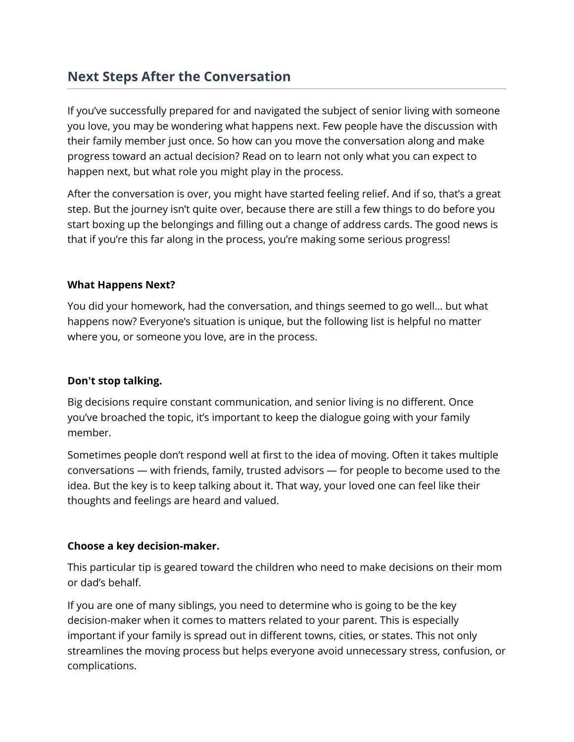# **Next Steps After the Conversation**

If you've successfully prepared for and navigated the subject of senior living with someone you love, you may be wondering what happens next. Few people have the discussion with their family member just once. So how can you move the conversation along and make progress toward an actual decision? Read on to learn not only what you can expect to happen next, but what role you might play in the process.

After the conversation is over, you might have started feeling relief. And if so, that's a great step. But the journey isn't quite over, because there are still a few things to do before you start boxing up the belongings and filling out a change of address cards. The good news is that if you're this far along in the process, you're making some serious progress!

# **What Happens Next?**

You did your homework, had the conversation, and things seemed to go well… but what happens now? Everyone's situation is unique, but the following list is helpful no matter where you, or someone you love, are in the process.

# **Don't stop talking.**

Big decisions require constant communication, and senior living is no different. Once you've broached the topic, it's important to keep the dialogue going with your family member.

Sometimes people don't respond well at first to the idea of moving. Often it takes multiple conversations — with friends, family, trusted advisors — for people to become used to the idea. But the key is to keep talking about it. That way, your loved one can feel like their thoughts and feelings are heard and valued.

# **Choose a key decision-maker.**

This particular tip is geared toward the children who need to make decisions on their mom or dad's behalf.

If you are one of many siblings, you need to determine who is going to be the key decision-maker when it comes to matters related to your parent. This is especially important if your family is spread out in different towns, cities, or states. This not only streamlines the moving process but helps everyone avoid unnecessary stress, confusion, or complications.